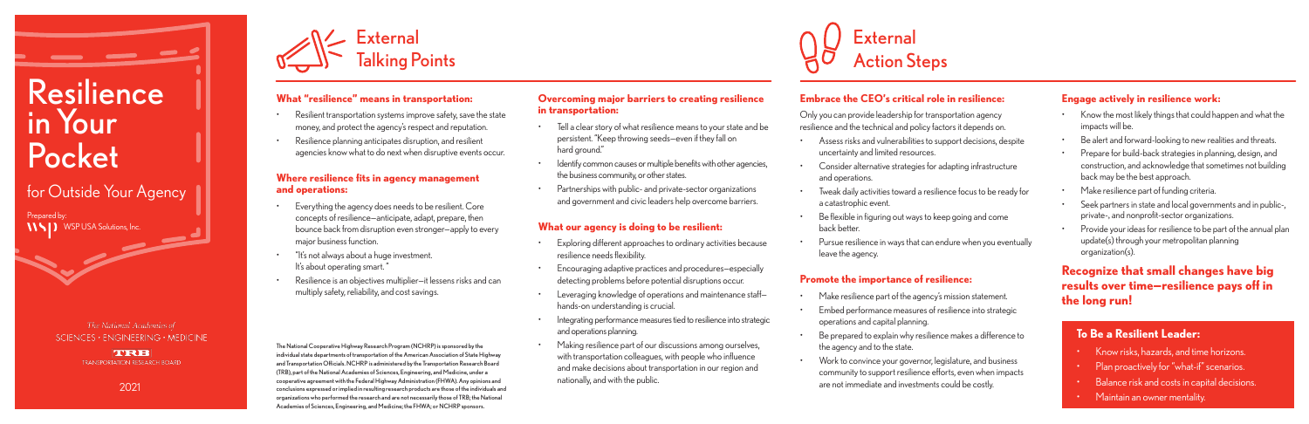## **What "resilience" means in transportation:**

- Resilient transportation systems improve safety, save the state money, and protect the agency's respect and reputation.
- Resilience planning anticipates disruption, and resilient agencies know what to do next when disruptive events occur.

### **Where resilience fits in agency management and operations:**

- Everything the agency does needs to be resilient. Core concepts of resilience—anticipate, adapt, prepare, then bounce back from disruption even stronger—apply to every major business function.
- "It's not always about a huge investment. It's about operating smart."
- Resilience is an objectives multiplier—it lessens risks and can multiply safety, reliability, and cost savings.

### **Overcoming major barriers to creating resilience in transportation:**

- Tell a clear story of what resilience means to your state and be persistent. "Keep throwing seeds—even if they fall on hard ground."
- Identify common causes or multiple benefits with other agencies, the business community, or other states.
- Partnerships with public- and private-sector organizations and government and civic leaders help overcome barriers.

# **What our agency is doing to be resilient:**

- Make resilience part of the agency's mission statement.
- Embed performance measures of resilience into strategic operations and capital planning.
- Be prepared to explain why resilience makes a difference to the agency and to the state.
- Work to convince your governor, legislature, and business community to support resilience efforts, even when impacts are not immediate and investments could be costly.

- 
- 
- 
- 
- 
- 
- 

- 
- 
- 
- 
- Exploring different approaches to ordinary activities because resilience needs flexibility.
- Encouraging adaptive practices and procedures—especially detecting problems before potential disruptions occur.
- Leveraging knowledge of operations and maintenance staffhands-on understanding is crucial.
- Integrating performance measures tied to resilience into strategic and operations planning.
- Making resilience part of our discussions among ourselves, with transportation colleagues, with people who influence and make decisions about transportation in our region and nationally, and with the public.

# **Embrace the CEO's critical role in resilience:**

Only you can provide leadership for transportation agency resilience and the technical and policy factors it depends on.

- Assess risks and vulnerabilities to support decisions, despite uncertainty and limited resources.
- Consider alternative strategies for adapting infrastructure and operations.
- Tweak daily activities toward a resilience focus to be ready for a catastrophic event.
- Be flexible in figuring out ways to keep going and come back better.
- Pursue resilience in ways that can endure when you eventually leave the agency.

## **Promote the importance of resilience:**

### **Engage actively in resilience work:**

- Know the most likely things that could happen and what the impacts will be.
- Be alert and forward-looking to new realities and threats.
- Prepare for build-back strategies in planning, design, and construction, and acknowledge that sometimes not building back may be the best approach.
- Make resilience part of funding criteria.
- Seek partners in state and local governments and in public-, private-, and nonprofit-sector organizations.
- Provide your ideas for resilience to be part of the annual plan update(s) through your metropolitan planning organization(s).

# **Recognize that small changes have big results over time—resilience pays off in the long run!**





# **To Be a Resilient Leader:**

- Know risks, hazards, and time horizons.
- Plan proactively for "what-if" scenarios.
- Balance risk and costs in capital decisions.
- Maintain an owner mentality.

The National Cooperative Highway Research Program (NCHRP) is sponsored by the individual state departments of transportation of the American Association of State Highway and Transportation Officials. NCHRP is administered by the Transportation Research Board (TRB), part of the National Academies of Sciences, Engineering, and Medicine, under a cooperative agreement with the Federal Highway Administration (FHWA). Any opinions and conclusions expressed or implied in resulting research products are those of the individuals and organizations who performed the research and are not necessarily those of TRB; the National Academies of Sciences, Engineering, and Medicine; the FHWA; or NCHRP sponsors.

# Resilience in Your Pocket

for Outside Your Agency

2021

Prepared by: WSP USA Solutions, Inc.

> The National Academies of  $SCIENCES \cdot ENGINEERING \cdot MEDICINE$

> > **LASE TRANSPORTATION RESEARCH BOARD**